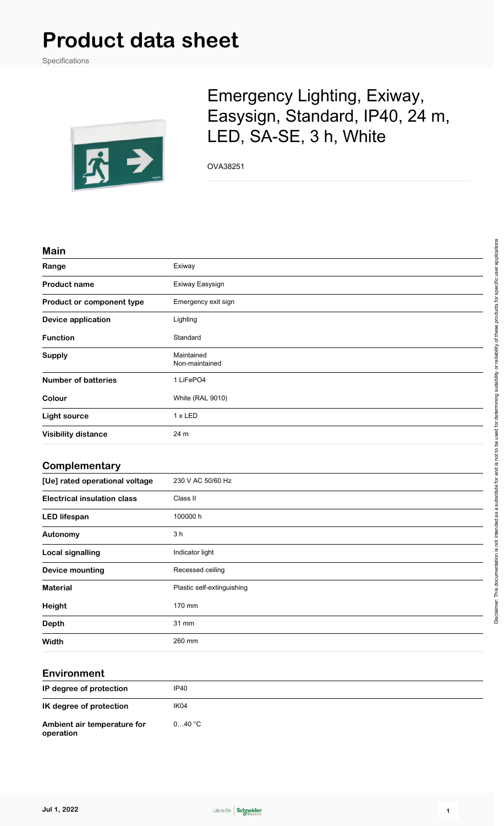# **Product data sheet**

Specifications



## Emergency Lighting, Exiway, Easysign, Standard, IP40, 24 m, LED, SA-SE, 3 h, White

OVA38251

#### **Main**

| Range                              | Exiway                       |
|------------------------------------|------------------------------|
| <b>Product name</b>                | Exiway Easysign              |
| Product or component type          | Emergency exit sign          |
| <b>Device application</b>          | Lighting                     |
| <b>Function</b>                    | Standard                     |
| <b>Supply</b>                      | Maintained<br>Non-maintained |
| <b>Number of batteries</b>         | 1 LiFePO4                    |
| Colour                             | White (RAL 9010)             |
| <b>Light source</b>                | 1 x LED                      |
| <b>Visibility distance</b>         | 24 m                         |
| Complementary                      |                              |
| [Ue] rated operational voltage     | 230 V AC 50/60 Hz            |
| <b>Electrical insulation class</b> | Class II                     |
| <b>LED lifespan</b>                | 100000 h                     |
| Autonomy                           | 3 <sub>h</sub>               |
| <b>Local signalling</b>            | Indicator light              |
| <b>Device mounting</b>             | Recessed ceiling             |
| <b>Material</b>                    | Plastic self-extinguishing   |
| <b>Height</b>                      | 170 mm                       |
| <b>Depth</b>                       | 31 mm                        |
| <b>Width</b>                       | 260 mm                       |
|                                    |                              |

#### **Environment**

| IP degree of protection                  | IP40   |
|------------------------------------------|--------|
| IK degree of protection                  | IK04   |
| Ambient air temperature for<br>operation | 040 °C |